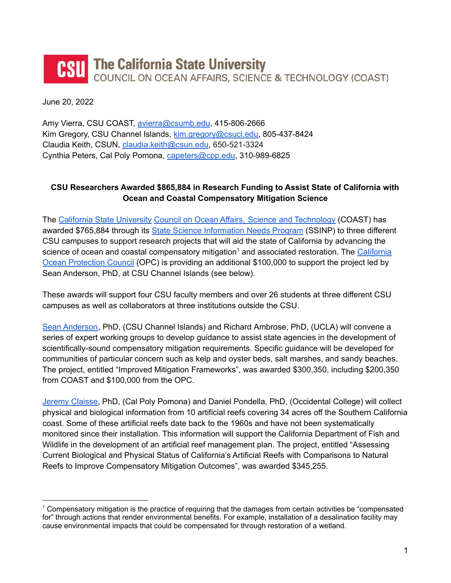## The California State University **CSU** COUNCIL ON OCEAN AFFAIRS, SCIENCE & TECHNOLOGY (COAST)

June 20, 2022

Amy Vierra, CSU COAST, [avierra@csumb.edu](mailto:avierra@csumb.edu), 415-806-2666 Kim Gregory, CSU Channel Islands, [kim.gregory@csuci.edu,](mailto:kim.gregory@csuci.edu) 805-437-8424 Claudia Keith, CSUN, [claudia.keith@csun.edu](mailto:claudia.keith@csun.edu), 650-521-3324 Cynthia Peters, Cal Poly Pomona, [capeters@cpp.edu](mailto:CAPeters@cpp.edu), 310-989-6825

## **CSU Researchers Awarded \$865,884 in Research Funding to Assist State of California with Ocean and Coastal Compensatory Mitigation Science**

The California State [University](https://www2.calstate.edu/) Council on Ocean Affairs, Science and [Technology](https://www2.calstate.edu/impact-of-the-csu/research/coast) (COAST) has awarded \$765,884 through its State Science [Information](https://www2.calstate.edu/impact-of-the-csu/research/coast/funding/Pages/SSINP.aspx) Needs Program (SSINP) to three different CSU campuses to support research projects that will aid the state of California by advancing the science of ocean and coastal compensatory mitigation<sup>1</sup> and associated restoration. The [California](https://www.opc.ca.gov/) Ocean [Protection](https://www.opc.ca.gov/) Council (OPC) is providing an additional \$100,000 to support the project led by Sean Anderson, PhD, at CSU Channel Islands (see below).

These awards will support four CSU faculty members and over 26 students at three different CSU campuses as well as collaborators at three institutions outside the CSU.

Sean [Anderson](https://ciapps.csuci.edu/FacultyBios/FacultyBiography/Details/324), PhD, (CSU Channel Islands) and Richard Ambrose, PhD, (UCLA) will convene a series of expert working groups to develop guidance to assist state agencies in the development of scientifically-sound compensatory mitigation requirements. Specific guidance will be developed for communities of particular concern such as kelp and oyster beds, salt marshes, and sandy beaches. The project, entitled "Improved Mitigation Frameworks", was awarded \$300,350, including \$200,350 from COAST and \$100,000 from the OPC.

Jeremy [Claisse,](https://www.claisselab.com/) PhD, (Cal Poly Pomona) and Daniel Pondella, PhD, (Occidental College) will collect physical and biological information from 10 artificial reefs covering 34 acres off the Southern California coast. Some of these artificial reefs date back to the 1960s and have not been systematically monitored since their installation. This information will support the California Department of Fish and Wildlife in the development of an artificial reef management plan. The project, entitled "Assessing Current Biological and Physical Status of California's Artificial Reefs with Comparisons to Natural Reefs to Improve Compensatory Mitigation Outcomes", was awarded \$345,255.

<sup>1</sup> Compensatory mitigation is the practice of requiring that the damages from certain activities be "compensated for" through actions that render environmental benefits. For example, installation of a desalination facility may cause environmental impacts that could be compensated for through restoration of a wetland.